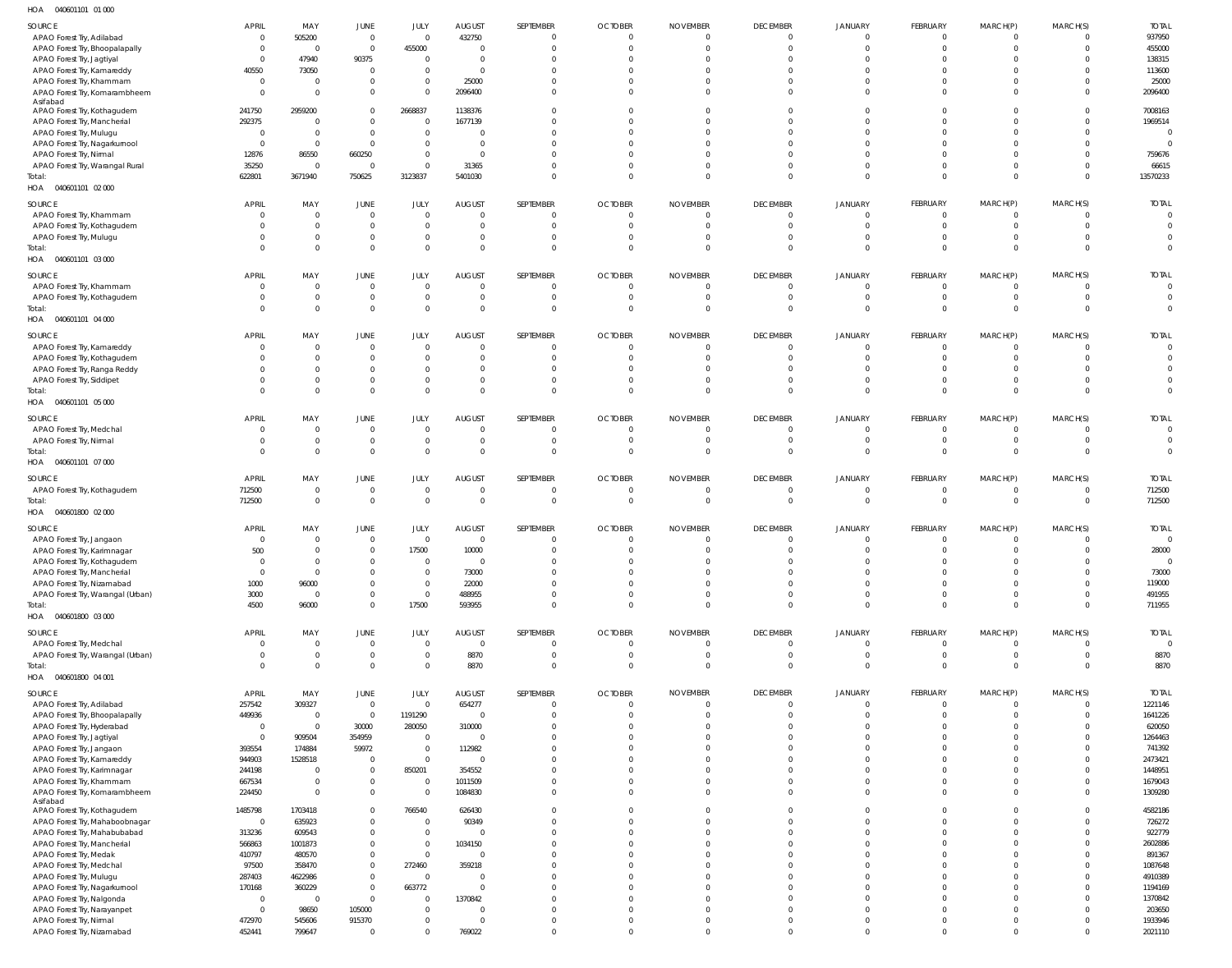040601101 01 000 HOA

| SOURCE                            | <b>APRIL</b>   | MAY                     | JUNE                     | JULY           | <b>AUGUST</b>  | SEPTEMBER      | <b>OCTOBER</b> | <b>NOVEMBER</b> | <b>DECEMBER</b> | <b>JANUARY</b> | FEBRUARY     | MARCH(P)       | MARCH(S) | <b>TOTAL</b>   |
|-----------------------------------|----------------|-------------------------|--------------------------|----------------|----------------|----------------|----------------|-----------------|-----------------|----------------|--------------|----------------|----------|----------------|
| APAO Forest Try, Adilabad         | - 0            | 505200                  | $\overline{0}$           | $\overline{0}$ | 432750         | $\overline{0}$ | $\overline{0}$ | $\overline{0}$  |                 |                | $\Omega$     | 0              |          | 937950         |
| APAO Forest Try, Bhoopalapally    | $\Omega$       | $\overline{\mathbf{0}}$ | $\overline{0}$           | 455000         | $\Omega$       | $\Omega$       | $\Omega$       | $\Omega$        | $\Omega$        |                | $\Omega$     | $\Omega$       |          | 455000         |
|                                   |                |                         |                          |                |                |                |                |                 |                 |                |              |                |          |                |
| APAO Forest Try, Jagtiyal         |                | 47940                   | 90375                    | $\overline{0}$ | $\Omega$       | $\Omega$       | $\Omega$       | $\Omega$        |                 |                |              | U              |          | 138315         |
| APAO Forest Try, Kamareddy        | 40550          | 73050                   | $\overline{0}$           | $\Omega$       | $\Omega$       | $\Omega$       | $\Omega$       | $\Omega$        |                 |                |              |                |          | 113600         |
| APAO Forest Try, Khammam          | - 0            | $\mathbf 0$             | $\overline{0}$           | $\mathbf 0$    | 25000          | $\Omega$       | $\Omega$       | $\Omega$        |                 |                |              | 0              |          | 25000          |
| APAO Forest Try, Komarambheem     | - 0            | $\Omega$                | $\overline{0}$           | $\Omega$       | 2096400        | $\Omega$       | $\Omega$       | $\Omega$        |                 | $\Omega$       | $\Omega$     | $\Omega$       |          | 2096400        |
| Asifabad                          |                |                         |                          |                |                |                |                |                 |                 |                |              |                |          |                |
| APAO Forest Try, Kothagudem       | 241750         | 2959200                 | $\overline{0}$           | 2668837        | 1138376        | $\Omega$       | $\Omega$       | $\Omega$        |                 |                | $\cup$       | 0              |          | 7008163        |
| APAO Forest Try, Mancherial       | 292375         | $\Omega$                | $\Omega$                 | $\Omega$       | 1677139        | $\Omega$       | $\Omega$       | $\Omega$        |                 |                |              |                |          | 1969514        |
|                                   |                |                         |                          |                |                |                |                |                 |                 |                |              |                |          |                |
| APAO Forest Try, Mulugu           | - 0            | $\Omega$                | $\overline{0}$           | $\Omega$       | $\Omega$       | $\Omega$       | $\Omega$       | $\Omega$        |                 |                |              | U              |          |                |
| APAO Forest Try, Nagarkurnool     | - 0            | $\overline{0}$          | $\overline{0}$           | $\Omega$       | $\Omega$       | $\Omega$       | $\Omega$       | $\Omega$        |                 |                |              |                |          |                |
| APAO Forest Try, Nirmal           | 12876          | 86550                   | 660250                   | $\Omega$       | $\Omega$       | $\Omega$       | $\Omega$       | $\Omega$        |                 |                |              | U              |          | 759676         |
| APAO Forest Try, Warangal Rural   | 35250          | $\overline{0}$          | $\overline{0}$           | $\Omega$       | 31365          | $\Omega$       | $\Omega$       | $\Omega$        |                 | $\Omega$       | $\Omega$     | $\Omega$       |          | 66615          |
| Total:                            | 622801         | 3671940                 | 750625                   | 3123837        | 5401030        | $\Omega$       | $\Omega$       | $\Omega$        | $\Omega$        | $\Omega$       | $\Omega$     | $\Omega$       | $\Omega$ | 13570233       |
|                                   |                |                         |                          |                |                |                |                |                 |                 |                |              |                |          |                |
| HOA  040601101  02  000           |                |                         |                          |                |                |                |                |                 |                 |                |              |                |          |                |
| SOURCE                            | APRIL          | MAY                     | <b>JUNE</b>              | JULY           | <b>AUGUST</b>  | SEPTEMBER      | <b>OCTOBER</b> | <b>NOVEMBER</b> | <b>DECEMBER</b> | JANUARY        | FEBRUARY     | MARCH(P)       | MARCH(S) | <b>TOTAL</b>   |
|                                   |                |                         |                          |                |                |                |                |                 |                 |                |              |                |          |                |
| APAO Forest Try, Khammam          | $\Omega$       | $\overline{0}$          | $\overline{0}$           | $\overline{0}$ | $\Omega$       | $\overline{0}$ | $\overline{0}$ | $\overline{0}$  | $\Omega$        | $\Omega$       | $\Omega$     | $\Omega$       |          | $\Omega$       |
| APAO Forest Try, Kothagudem       | - 0            | $\overline{0}$          | $\overline{0}$           | $\overline{0}$ | $\overline{0}$ | $\overline{0}$ | $\overline{0}$ | $\overline{0}$  | $\Omega$        | $\Omega$       | $\mathbf 0$  | $\mathbf 0$    | $\Omega$ |                |
| APAO Forest Try, Mulugu           |                | $\overline{0}$          | $\mathbf 0$              | $\overline{0}$ | $\Omega$       | $\overline{0}$ | $\overline{0}$ | $\overline{0}$  | $\Omega$        | $\Omega$       | $\Omega$     | $\mathbf 0$    |          |                |
| Total:                            | $\Omega$       | $\overline{0}$          | $\mathbf 0$              | $\mathbf 0$    | $\Omega$       | $\overline{0}$ | $\Omega$       | $\Omega$        | $\Omega$        | $\Omega$       | $\Omega$     | $\Omega$       | $\Omega$ | $\Omega$       |
| HOA  040601101  03  000           |                |                         |                          |                |                |                |                |                 |                 |                |              |                |          |                |
|                                   |                |                         |                          |                |                |                |                |                 |                 |                |              |                |          |                |
| SOURCE                            | <b>APRIL</b>   | MAY                     | JUNE                     | JULY           | <b>AUGUST</b>  | SEPTEMBER      | <b>OCTOBER</b> | <b>NOVEMBER</b> | <b>DECEMBER</b> | <b>JANUARY</b> | FEBRUARY     | MARCH(P)       | MARCH(S) | <b>TOTAL</b>   |
|                                   | - 0            | $\mathbf 0$             | $\overline{0}$           | $\overline{0}$ | $\Omega$       | $\overline{0}$ | $\overline{0}$ | $\overline{0}$  |                 |                | $\Omega$     | 0              |          | $\Omega$       |
| APAO Forest Try, Khammam          |                |                         |                          |                |                |                |                |                 |                 |                |              |                |          |                |
| APAO Forest Try, Kothagudem       | - 0            | $\mathbf 0$             | $\mathbf 0$              | $\overline{0}$ | $\mathbf{0}$   | $\overline{0}$ | $\overline{0}$ | $\overline{0}$  | $\overline{0}$  | $\mathbf 0$    | $\mathbf 0$  | $\mathbf 0$    |          | $\Omega$       |
| Total:                            |                | $\Omega$                | $\overline{0}$           | $\Omega$       | $\Omega$       | $\Omega$       | $\Omega$       | $\Omega$        | $\Omega$        | $\Omega$       | $\Omega$     | $\Omega$       |          |                |
| HOA  040601101  04  000           |                |                         |                          |                |                |                |                |                 |                 |                |              |                |          |                |
|                                   |                |                         |                          |                |                |                |                |                 |                 |                |              |                |          |                |
| SOURCE                            | <b>APRIL</b>   | MAY                     | JUNE                     | JULY           | <b>AUGUST</b>  | SEPTEMBER      | <b>OCTOBER</b> | <b>NOVEMBER</b> | <b>DECEMBER</b> | JANUARY        | FEBRUARY     | MARCH(P)       | MARCH(S) | <b>TOTAL</b>   |
| APAO Forest Try, Kamareddy        | $\Omega$       | $\overline{0}$          | $\overline{0}$           | $\overline{0}$ | $\Omega$       | $\overline{0}$ | $\overline{0}$ | $\overline{0}$  | $\Omega$        | $\Omega$       | $\Omega$     | $\Omega$       |          | $\Omega$       |
|                                   |                |                         |                          |                |                |                |                |                 |                 |                |              |                |          |                |
| APAO Forest Try, Kothagudem       |                | $\overline{0}$          | $\overline{0}$           | $\overline{0}$ | $\Omega$       | $\overline{0}$ | $\overline{0}$ | $\overline{0}$  | $\Omega$        | $\Omega$       | $\Omega$     | $\mathbf 0$    |          |                |
| APAO Forest Try, Ranga Reddy      |                | $\Omega$                | $\overline{0}$           | $\overline{0}$ | $\Omega$       | $\Omega$       | $\Omega$       | $\Omega$        |                 | $\Omega$       | $\Omega$     | $\Omega$       |          |                |
| APAO Forest Try, Siddipet         |                | $\mathbf 0$             | $\overline{0}$           | $\overline{0}$ | $\Omega$       | $\overline{0}$ | $\overline{0}$ | $\overline{0}$  | $\Omega$        | $\mathbf 0$    | $\mathbf 0$  | $\mathbf 0$    |          |                |
| Total:                            | $\Omega$       | $\Omega$                | $\overline{0}$           | $\mathbf{0}$   | $\Omega$       | $\Omega$       | $\Omega$       | $\Omega$        | $\Omega$        | $\Omega$       | $\Omega$     | $\Omega$       | $\Omega$ | $\Omega$       |
|                                   |                |                         |                          |                |                |                |                |                 |                 |                |              |                |          |                |
| HOA  040601101  05  000           |                |                         |                          |                |                |                |                |                 |                 |                |              |                |          |                |
| SOURCE                            | <b>APRIL</b>   | MAY                     | JUNE                     | JULY           | <b>AUGUST</b>  | SEPTEMBER      | <b>OCTOBER</b> | <b>NOVEMBER</b> | <b>DECEMBER</b> | JANUARY        | FEBRUARY     | MARCH(P)       | MARCH(S) | <b>TOTAL</b>   |
|                                   |                |                         |                          |                |                |                |                |                 |                 |                |              |                |          | $\overline{0}$ |
| APAO Forest Try, Medchal          | $\Omega$       | $\mathbf{0}$            | $\overline{0}$           | $\overline{0}$ | $\Omega$       | $\overline{0}$ | $\overline{0}$ | $\overline{0}$  | $\Omega$        | $\Omega$       | $\Omega$     | $\mathbf 0$    |          |                |
| APAO Forest Try, Nirmal           |                | $\mathbf 0$             | $\mathbf 0$              | $\overline{0}$ | $\Omega$       | $\overline{0}$ | $\overline{0}$ | $\overline{0}$  | $\Omega$        | $\Omega$       | $\Omega$     | $\mathbf 0$    |          |                |
| Total:                            | $\Omega$       | $\Omega$                | $\overline{0}$           | $\Omega$       | $\Omega$       | $\overline{0}$ | $\overline{0}$ | $\overline{0}$  | $\Omega$        | $\Omega$       | $\Omega$     | $\mathbf 0$    | $\Omega$ | $\overline{0}$ |
| HOA  040601101  07  000           |                |                         |                          |                |                |                |                |                 |                 |                |              |                |          |                |
|                                   |                |                         |                          |                |                |                |                |                 |                 |                |              |                |          |                |
| SOURCE                            | <b>APRIL</b>   | MAY                     | JUNE                     | JULY           | <b>AUGUST</b>  | SEPTEMBER      | <b>OCTOBER</b> | <b>NOVEMBER</b> | <b>DECEMBER</b> | JANUARY        | FEBRUARY     | MARCH(P)       | MARCH(S) | <b>TOTAL</b>   |
|                                   |                | $\overline{0}$          | $\overline{0}$           | $\overline{0}$ | $\Omega$       | $\overline{0}$ | $\overline{0}$ | $\circ$         | $\overline{0}$  | $\mathbf 0$    | $\mathbf 0$  | 0              |          | 712500         |
| APAO Forest Try, Kothagudem       | 712500         |                         |                          |                |                |                |                |                 |                 |                |              |                |          |                |
| Total:                            | 712500         | $\overline{0}$          | $\overline{0}$           | $\mathbf{0}$   | $\overline{0}$ | $\overline{0}$ | $\overline{0}$ | $\overline{0}$  | $\mathbf{0}$    | $\Omega$       | $\mathbf 0$  | $\overline{0}$ | $\Omega$ | 712500         |
| HOA  040601800  02  000           |                |                         |                          |                |                |                |                |                 |                 |                |              |                |          |                |
|                                   |                |                         |                          |                |                |                |                |                 |                 |                |              |                |          |                |
| SOURCE                            | <b>APRIL</b>   | MAY                     | JUNE                     | JULY           | <b>AUGUST</b>  | SEPTEMBER      | <b>OCTOBER</b> | <b>NOVEMBER</b> | <b>DECEMBER</b> | JANUARY        | FEBRUARY     | MARCH(P)       | MARCH(S) | <b>TOTAL</b>   |
| APAO Forest Try, Jangaon          | - 0            | $\Omega$                | $\overline{0}$           | $\Omega$       | $\Omega$       | $\overline{0}$ | $\overline{0}$ | $\Omega$        |                 |                | $\Omega$     | $\Omega$       |          | $\overline{0}$ |
| APAO Forest Try, Karimnagar       | 500            | $\Omega$                | $\mathbf 0$              | 17500          | 10000          | $\Omega$       | $\Omega$       | $\Omega$        |                 |                | $\Omega$     | $\Omega$       |          | 28000          |
|                                   |                |                         | $\Omega$                 |                |                |                |                |                 |                 |                |              |                |          |                |
| APAO Forest Try, Kothaguden       |                |                         |                          |                |                |                |                |                 |                 |                |              |                |          |                |
| APAO Forest Try, Mancherial       | $\Omega$       | $\mathbf{0}$            | $\Omega$                 | $\Omega$       | 73000          | $\Omega$       | $\Omega$       | $\Omega$        |                 |                | $\Omega$     | U              |          | 73000          |
| APAO Forest Try, Nizamabad        | 1000           | 96000                   | $\overline{0}$           | $\overline{0}$ | 22000          | $\Omega$       | $\Omega$       | $\Omega$        | $\Omega$        | $\Omega$       | $\Omega$     | $\Omega$       |          | 119000         |
| APAO Forest Try, Warangal (Urban) | 3000           | $\Omega$                | $\mathbf 0$              | $\overline{0}$ | 488955         | $\Omega$       | $\Omega$       | $\Omega$        | $\Omega$        | $\Omega$       | $\Omega$     | $\Omega$       |          | 491955         |
| Total:                            | 4500           | 96000                   | $\mathbf 0$              | 17500          | 593955         | $\Omega$       | $\Omega$       | $\Omega$        | $\Omega$        | $\Omega$       | $\Omega$     | $\mathbf 0$    | $\Omega$ | 711955         |
|                                   |                |                         |                          |                |                |                |                |                 |                 |                |              |                |          |                |
| HOA  040601800  03  000           |                |                         |                          |                |                |                |                |                 |                 |                |              |                |          |                |
| SOURCE                            | APRIL          | MAY                     | <b>JUNE</b>              | JULY           | <b>AUGUST</b>  | SEPTEMBER      | <b>OCTOBER</b> | <b>NOVEMBER</b> | <b>DECEMBER</b> | <b>JANUARY</b> | FEBRUARY     | MARCH(P)       | MARCH(S) | <b>TOTAL</b>   |
|                                   |                |                         |                          |                |                |                |                |                 |                 |                |              |                |          |                |
| APAO Forest Try, Medchal          | $\Omega$       | $\overline{0}$          | $\overline{\phantom{0}}$ | $\overline{0}$ | $\overline{0}$ | $\overline{0}$ | $\overline{0}$ | $\overline{0}$  | $\mathbf{0}$    | $\mathbf 0$    | $\mathbf 0$  | $\mathbf 0$    |          | $\Omega$       |
| APAO Forest Try, Warangal (Urban) | $\Omega$       | $\mathbf{0}$            | $\overline{0}$           | $\overline{0}$ | 8870           | $\overline{0}$ | $\overline{0}$ | $\overline{0}$  | $\mathbf 0$     | $\mathbf 0$    | $\mathbf{0}$ | $\overline{0}$ | $\Omega$ | 8870           |
| Total:                            | $\Omega$       | $\mathbf 0$             | $\mathbf 0$              | $\mathbf 0$    | 8870           | $\overline{0}$ | $\overline{0}$ | $\overline{0}$  | $\Omega$        | $\mathbf 0$    | $\Omega$     | $\overline{0}$ | $\Omega$ | 8870           |
| HOA  040601800  04  001           |                |                         |                          |                |                |                |                |                 |                 |                |              |                |          |                |
|                                   |                |                         |                          |                |                |                |                |                 |                 |                |              |                |          |                |
| SOURCE                            | <b>APRIL</b>   | MAY                     | <b>JUNE</b>              | JULY           | <b>AUGUST</b>  | SEPTEMBER      | <b>OCTOBER</b> | <b>NOVEMBER</b> | <b>DECEMBER</b> | <b>JANUARY</b> | FEBRUARY     | MARCH(P)       | MARCH(S) | <b>TOTAL</b>   |
| APAO Forest Try, Adilabad         | 257542         | 309327                  | $\overline{0}$           | $\overline{0}$ | 654277         | $\overline{0}$ | $\overline{0}$ | $\overline{0}$  |                 |                | $\Omega$     | $\mathbf 0$    |          | 1221146        |
|                                   |                | $\overline{0}$          | $\overline{0}$           |                |                | $\overline{0}$ | $\overline{0}$ | $\Omega$        | $\Omega$        | $\Omega$       | $\Omega$     | $\Omega$       |          | 1641226        |
| APAO Forest Try, Bhoopalapally    | 449936         |                         |                          | 1191290        | $\overline{0}$ |                |                |                 |                 |                |              |                |          |                |
| APAO Forest Try, Hyderabad        | $\Omega$       | $\overline{0}$          | 30000                    | 280050         | 310000         | $\Omega$       | $\Omega$       | $\Omega$        |                 |                | $\Omega$     | $\Omega$       |          | 620050         |
| APAO Forest Try, Jagtiyal         | $\Omega$       | 909504                  | 354959                   | $\overline{0}$ | $\Omega$       | $\Omega$       | $\Omega$       | $\Omega$        | $\Omega$        |                | $\Omega$     | $\Omega$       |          | 1264463        |
| APAO Forest Try, Jangaon          | 393554         | 174884                  | 59972                    | $\overline{0}$ | 112982         | $\Omega$       | $\Omega$       | $\Omega$        |                 |                | $\Omega$     | $\Omega$       |          | 741392         |
|                                   |                |                         |                          | $\overline{0}$ |                |                | $\Omega$       | $\Omega$        |                 |                | $\Omega$     |                |          | 2473421        |
| APAO Forest Try, Kamareddy        | 944903         | 1528518                 | $\overline{0}$           |                | $\Omega$       | $\Omega$       |                |                 |                 |                |              | $\Omega$       |          |                |
| APAO Forest Try, Karimnagar       | 244198         | $\overline{0}$          | $\overline{0}$           | 850201         | 354552         | $\Omega$       | $\Omega$       | $\Omega$        |                 |                | $\Omega$     | $\Omega$       |          | 1448951        |
| APAO Forest Try, Khammam          | 667534         | $\Omega$                | $\mathbf 0$              | $\circ$        | 1011509        | $\Omega$       | $\Omega$       | $\Omega$        | $\Omega$        | $\Omega$       | $\Omega$     | $\Omega$       |          | 1679043        |
| APAO Forest Try, Komarambheem     | 224450         | $\Omega$                | $\overline{0}$           | $\Omega$       | 1084830        | $\Omega$       | $\Omega$       | $\Omega$        | $\Omega$        | $\Omega$       | $\Omega$     | $\Omega$       |          | 1309280        |
| Asifabad                          |                |                         |                          |                |                |                |                |                 |                 |                |              |                |          |                |
| APAO Forest Try, Kothagudem       | 1485798        | 1703418                 | $\overline{0}$           | 766540         | 626430         | $\Omega$       | $\Omega$       | $\Omega$        |                 |                | $\Omega$     | $\Omega$       |          | 4582186        |
|                                   |                |                         |                          |                |                |                |                |                 |                 |                |              |                |          |                |
| APAO Forest Try, Mahaboobnagar    | $\mathbf{0}$   | 635923                  | $\mathbb O$              | $\Omega$       | 90349          | $\Omega$       | $\Omega$       | $\Omega$        |                 |                | $\Omega$     | $\Omega$       |          | 726272         |
| APAO Forest Try, Mahabubabad      | 313236         | 609543                  | $\overline{0}$           | $\overline{0}$ | $\Omega$       | $\Omega$       | $\Omega$       | $\Omega$        | $\Omega$        |                | $\Omega$     | $\Omega$       |          | 922779         |
| APAO Forest Try, Mancherial       | 566863         | 1001873                 | $\mathbf 0$              | $\overline{0}$ | 1034150        | $\Omega$       | $\Omega$       | $\Omega$        |                 |                | $\Omega$     | $\Omega$       |          | 2602886        |
|                                   | 410797         | 480570                  | $\mathbf{0}$             | $\Omega$       | $\Omega$       | $\Omega$       | $\Omega$       | $\Omega$        |                 |                | $\Omega$     | $\Omega$       |          | 891367         |
| APAO Forest Try, Medak            |                |                         |                          |                |                |                |                |                 |                 |                |              |                |          |                |
| APAO Forest Try, Medchal          | 97500          | 358470                  | $\overline{0}$           | 272460         | 359218         | $\Omega$       | $\Omega$       | $\Omega$        |                 |                | $\Omega$     | $\Omega$       |          | 1087648        |
| APAO Forest Try, Mulugu           | 287403         | 4622986                 | $\overline{0}$           | $\overline{0}$ | $\Omega$       | $\Omega$       | $\Omega$       | $\Omega$        |                 |                | $\Omega$     | $\Omega$       |          | 4910389        |
| APAO Forest Try, Nagarkurnool     | 170168         | 360229                  | $\overline{0}$           | 663772         | $\Omega$       | $\Omega$       | $\Omega$       | $\Omega$        |                 |                | $\Omega$     | $\Omega$       |          | 1194169        |
| APAO Forest Try, Nalgonda         | $\overline{0}$ | $\Omega$                | $\overline{0}$           | $\Omega$       | 1370842        | $\Omega$       | $\Omega$       | $\Omega$        |                 |                | $\Omega$     | $\Omega$       |          | 1370842        |
|                                   |                |                         |                          |                |                |                |                |                 |                 |                |              |                |          |                |
|                                   |                |                         |                          |                |                |                |                |                 |                 |                |              |                |          |                |
| APAO Forest Try, Narayanpet       | $\Omega$       | 98650                   | 105000                   | $\overline{0}$ | $\Omega$       | $\Omega$       | $\Omega$       | $\Omega$        |                 |                | $\Omega$     | $\Omega$       |          | 203650         |
| APAO Forest Try, Nirmal           | 472970         | 545606                  | 915370                   | $\Omega$       | $\Omega$       | $\Omega$       | $\Omega$       | $\Omega$        | $\Omega$        | $\Omega$       | $\Omega$     | $\Omega$       |          | 1933946        |
| APAO Forest Try, Nizamabad        | 452441         | 799647                  | $\Omega$                 | $\Omega$       | 769022         | $\Omega$       | $\Omega$       | $\Omega$        | $\Omega$        | $\Omega$       | $\Omega$     | $\Omega$       |          | 2021110        |